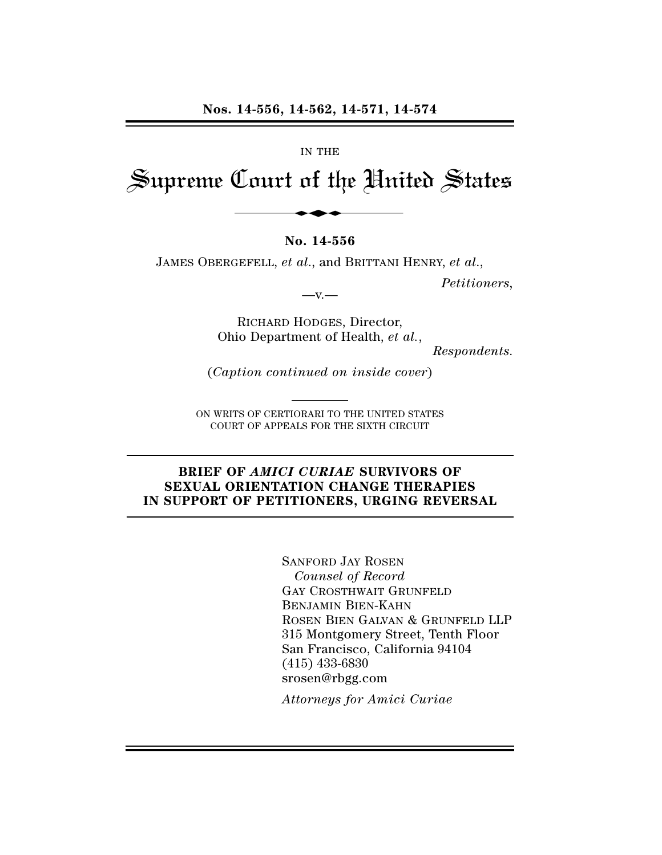#### IN THE

# Supreme Court of the United States 14-556, 14-562, 14-571, 14<br>
IN THE<br>
Dourt of the Uni

# **No. 14-556**

JAMES OBERGEFELL, *et al*., and BRITTANI HENRY, *et al*.,

*Petitioners,*

 $-x -$ 

RICHARD HODGES, Director, Ohio Department of Health, *et al.*,

*Respondents.*

(*Caption continued on inside cover*)

ON WRITS OF CERTIORARI TO THE UNITED STATES COURT OF APPEALS FOR THE SIXTH CIRCUIT

# **BRIEF OF** *AMICI CURIAE* **SURVIVORS OF SEXUAL ORIENTATION CHANGE THERAPIES IN SUPPORT OF PETITIONERS, URGING REVERSAL**

SANFORD JAY ROSEN *Counsel of Record* GAY CROSTHWAIT GRUNFELD BENJAMIN BIEN-KAHN ROSEN BIEN GALVAN & GRUNFELD LLP 315 Montgomery Street, Tenth Floor San Francisco, California 94104 (415) 433-6830 srosen@rbgg.com

*Attorneys for Amici Curiae*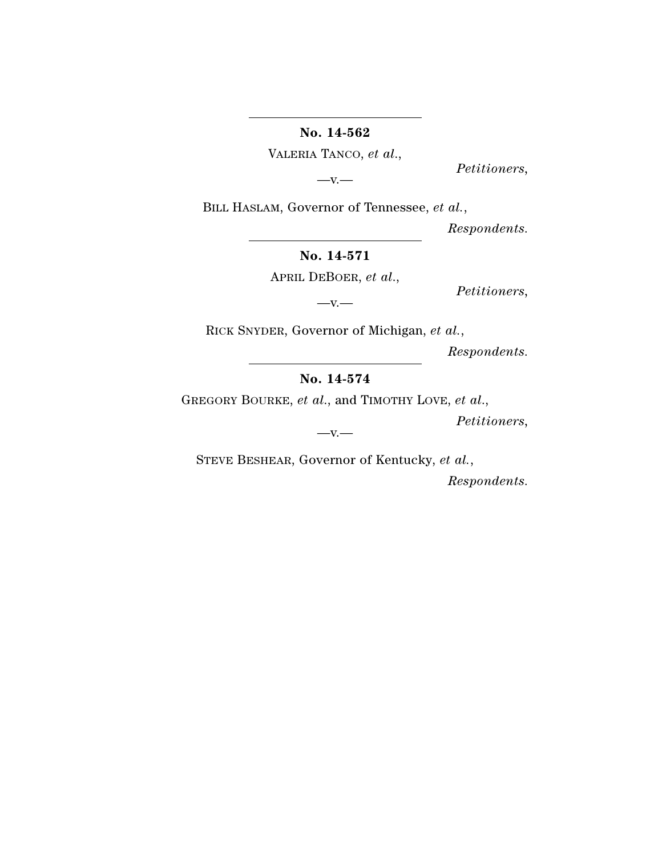**No. 14-562**

VALERIA TANCO, *et al*.,

 $-V.$ —

*Petitioners,*

BILL HASLAM, Governor of Tennessee, *et al.*,

*Respondents.*

**No. 14-571**

APRIL DEBOER, *et al*.,

*Petitioners,*

 $-v.$ 

RICK SNYDER, Governor of Michigan, *et al.*,

*Respondents.*

**No. 14-574**

GREGORY BOURKE, *et al*., and TIMOTHY LOVE, *et al*.,

*Petitioners,*

 $-V.$ 

STEVE BESHEAR, Governor of Kentucky, *et al.*,

*Respondents.*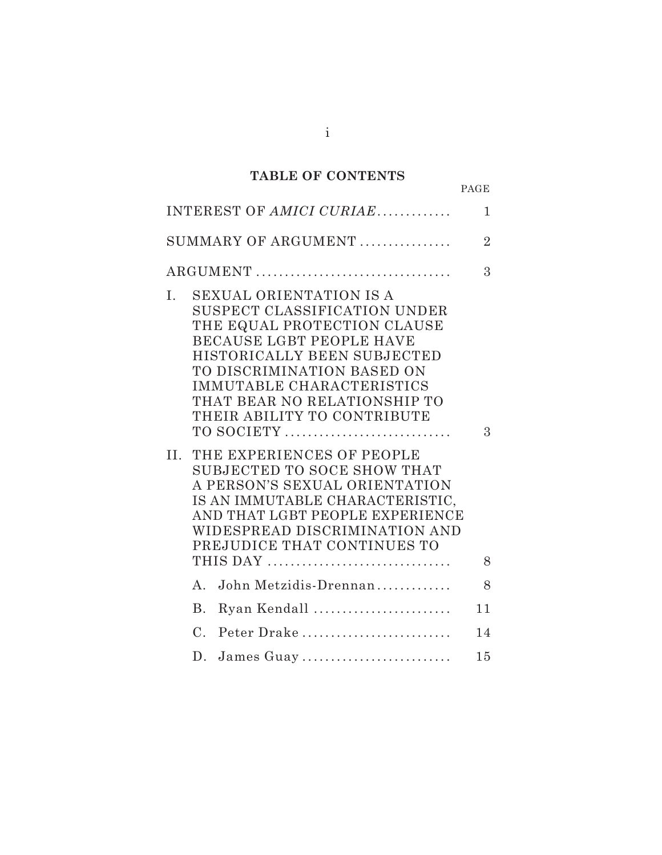# **TABLE OF CONTENTS**

|                                                                                                                                                                                                                                                                                                                                                                                                                                                                                                                                                        | PAGE           |
|--------------------------------------------------------------------------------------------------------------------------------------------------------------------------------------------------------------------------------------------------------------------------------------------------------------------------------------------------------------------------------------------------------------------------------------------------------------------------------------------------------------------------------------------------------|----------------|
| INTEREST OF AMICI CURIAE                                                                                                                                                                                                                                                                                                                                                                                                                                                                                                                               | $\mathbf{1}$   |
| SUMMARY OF ARGUMENT                                                                                                                                                                                                                                                                                                                                                                                                                                                                                                                                    | $\overline{2}$ |
| ARGUMENT                                                                                                                                                                                                                                                                                                                                                                                                                                                                                                                                               | 3              |
| I.<br>SEXUAL ORIENTATION IS A<br>SUSPECT CLASSIFICATION UNDER<br>THE EQUAL PROTECTION CLAUSE<br><b>BECAUSE LGBT PEOPLE HAVE</b><br>HISTORICALLY BEEN SUBJECTED<br>TO DISCRIMINATION BASED ON<br>IMMUTABLE CHARACTERISTICS<br>THAT BEAR NO RELATIONSHIP TO<br>THEIR ABILITY TO CONTRIBUTE<br>TO SOCIETY<br>THE EXPERIENCES OF PEOPLE<br>$\rm II.$<br>SUBJECTED TO SOCE SHOW THAT<br>A PERSON'S SEXUAL ORIENTATION<br>IS AN IMMUTABLE CHARACTERISTIC,<br>AND THAT LGBT PEOPLE EXPERIENCE<br>WIDESPREAD DISCRIMINATION AND<br>PREJUDICE THAT CONTINUES TO | 3              |
|                                                                                                                                                                                                                                                                                                                                                                                                                                                                                                                                                        | 8              |
| John Metzidis-Drennan<br>$A_{\cdot}$                                                                                                                                                                                                                                                                                                                                                                                                                                                                                                                   | 8              |
| Ryan Kendall<br><b>B.</b>                                                                                                                                                                                                                                                                                                                                                                                                                                                                                                                              | 11             |
| Peter Drake<br>$\mathcal{C}$ .                                                                                                                                                                                                                                                                                                                                                                                                                                                                                                                         | 14             |
| D.<br>James Guay                                                                                                                                                                                                                                                                                                                                                                                                                                                                                                                                       | 15             |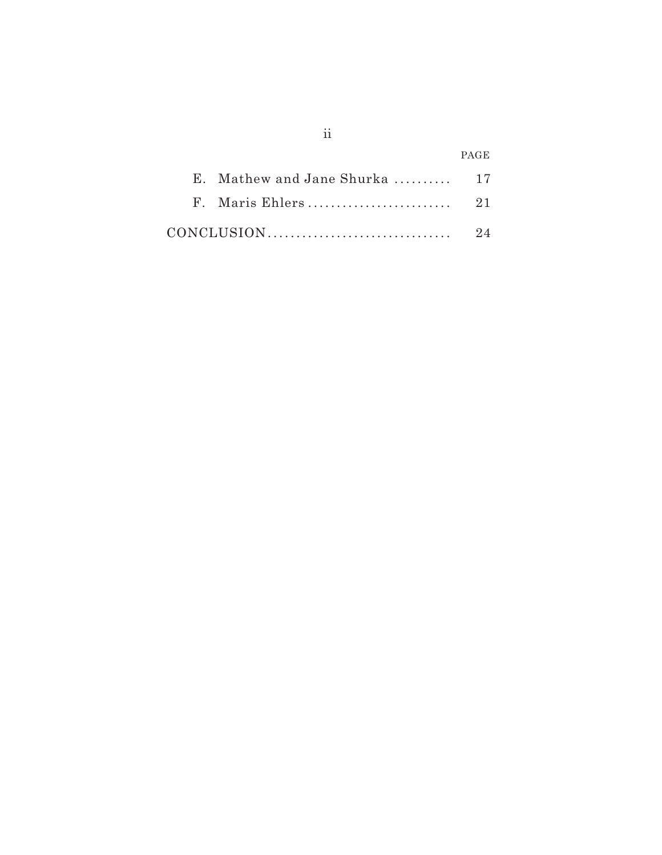|                               | <b>PAGE</b> |
|-------------------------------|-------------|
| E. Mathew and Jane Shurka  17 |             |
|                               |             |
|                               | 9.4         |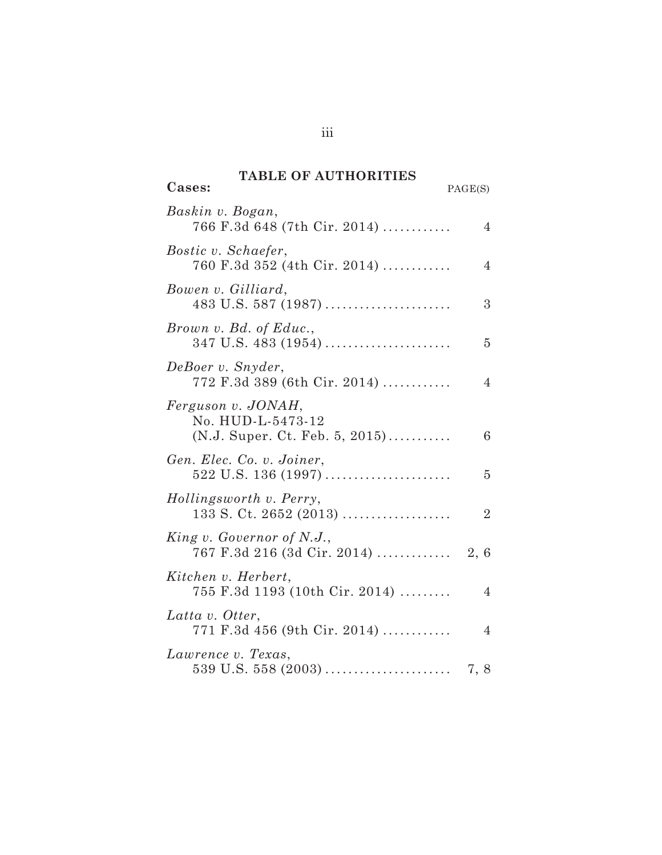# **TABLE OF AUTHORITIES**

 $\overline{\text{Cases}}$ 

| PAGE(S) |  |
|---------|--|
|         |  |

| Baskin v. Bogan,<br>766 F.3d 648 (7th Cir. 2014)                            | $\overline{4}$ |
|-----------------------------------------------------------------------------|----------------|
| <i>Bostic v. Schaefer,</i><br>760 F.3d 352 (4th Cir. 2014)                  | 4              |
| Bowen v. Gilliard,                                                          | 3              |
| Brown v. Bd. of Educ.,                                                      | 5              |
| DeBoer v. Snyder,<br>$772$ F.3d 389 (6th Cir. 2014)                         | 4              |
| Ferguson v. JONAH,<br>No. HUD-L-5473-12<br>$(N.J. Super. Ct. Feb. 5, 2015)$ | 6              |
| Gen. Elec. Co. v. Joiner,                                                   | 5              |
| Hollingsworth v. Perry,<br>$133$ S. Ct. 2652 (2013)                         | $\overline{2}$ |
| King v. Governor of N.J.,                                                   |                |
| Kitchen v. Herbert,<br>755 F.3d 1193 (10th Cir. 2014)                       | 4              |
| Latta v. Otter,<br>$771$ F.3d $456$ (9th Cir. 2014)                         | 4              |
| Lawrence v. Texas,                                                          |                |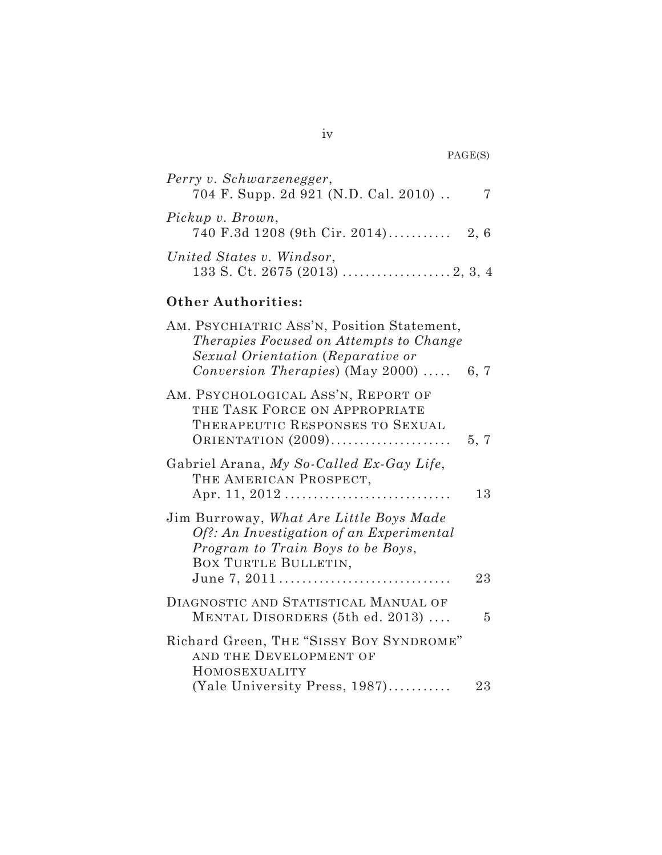| Perry v. Schwarzenegger,<br>704 F. Supp. 2d 921 (N.D. Cal. 2010). | -7 |
|-------------------------------------------------------------------|----|
| Pickup v. Brown,                                                  |    |
| United States v. Windsor,                                         |    |

# **Other Authorities:**

| AM. PSYCHIATRIC ASS'N, Position Statement,<br>Therapies Focused on Attempts to Change<br>Sexual Orientation (Reparative or<br>Conversion Therapies) (May 2000)   | 6, 7 |
|------------------------------------------------------------------------------------------------------------------------------------------------------------------|------|
| AM. PSYCHOLOGICAL ASS'N, REPORT OF<br>THE TASK FORCE ON APPROPRIATE<br>THERAPEUTIC RESPONSES TO SEXUAL<br>ORIENTATION $(2009)$                                   | 5, 7 |
| Gabriel Arana, My So-Called Ex-Gay Life,<br>THE AMERICAN PROSPECT,                                                                                               | 13   |
| Jim Burroway, What Are Little Boys Made<br>Of?: An Investigation of an Experimental<br>Program to Train Boys to be Boys,<br>BOX TURTLE BULLETIN,<br>June 7, 2011 | 23   |
| DIAGNOSTIC AND STATISTICAL MANUAL OF<br>MENTAL DISORDERS (5th ed. 2013)                                                                                          | 5    |
| Richard Green, THE "SISSY BOY SYNDROME"<br>AND THE DEVELOPMENT OF<br>HOMOSEXUALITY                                                                               |      |
| (Yale University Press, 1987)                                                                                                                                    | 23   |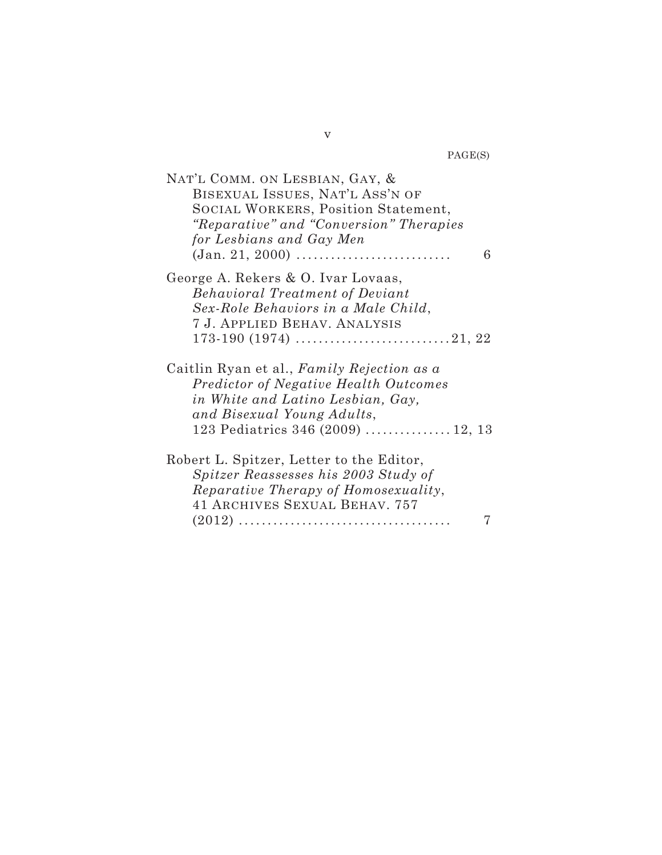PAGE(S)

| NAT'L COMM. ON LESBIAN, GAY, &             |
|--------------------------------------------|
| BISEXUAL ISSUES, NAT'L ASS'N OF            |
| SOCIAL WORKERS, Position Statement,        |
| "Reparative" and "Conversion" Therapies    |
| for Lesbians and Gay Men                   |
| 6                                          |
| George A. Rekers & O. Ivar Lovaas,         |
| <b>Behavioral Treatment of Deviant</b>     |
| Sex-Role Behaviors in a Male Child,        |
| 7 J. APPLIED BEHAV. ANALYSIS               |
|                                            |
| Caitlin Ryan et al., Family Rejection as a |
| Predictor of Negative Health Outcomes      |
| in White and Latino Lesbian, Gay,          |
| and Bisexual Young Adults,                 |
| 123 Pediatrics 346 (2009)  12, 13          |
|                                            |
| Robert L. Spitzer, Letter to the Editor,   |
| Spitzer Reassesses his 2003 Study of       |
| Reparative Therapy of Homosexuality,       |
| <b>41 ARCHIVES SEXUAL BEHAV. 757</b>       |
|                                            |

v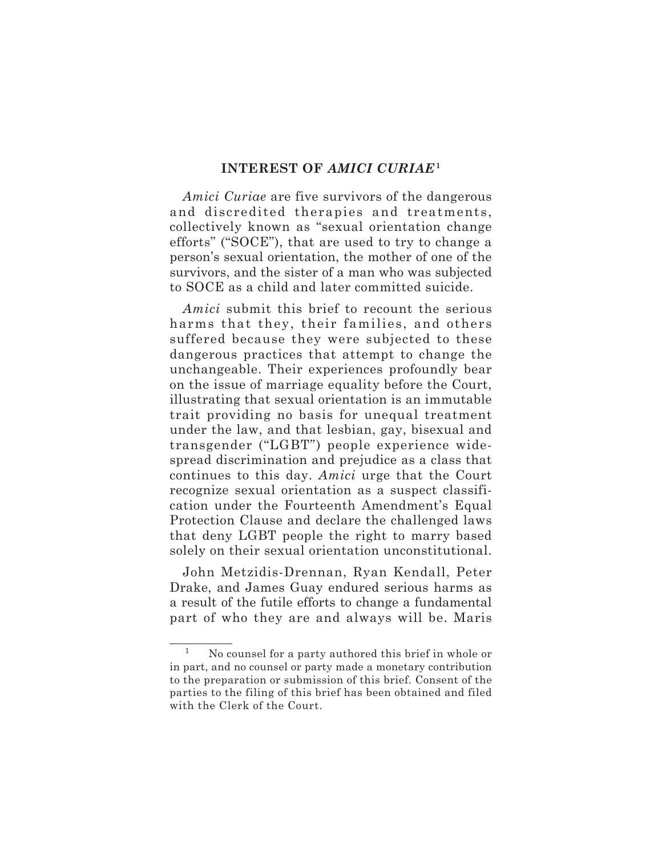# **INTEREST OF** *AMICI CURIAE***<sup>1</sup>**

*Amici Curiae* are five survivors of the dangerous and discredited therapies and treatments, collectively known as "sexual orientation change efforts" ("SOCE"), that are used to try to change a person's sexual orientation, the mother of one of the survivors, and the sister of a man who was subjected to SOCE as a child and later committed suicide.

*Amici* submit this brief to recount the serious harms that they, their families, and others suffered because they were subjected to these dangerous practices that attempt to change the unchangeable. Their experiences profoundly bear on the issue of marriage equality before the Court, illustrating that sexual orientation is an immutable trait providing no basis for unequal treatment under the law, and that lesbian, gay, bisexual and transgender ("LGBT") people experience widespread discrimination and prejudice as a class that continues to this day. *Amici* urge that the Court recognize sexual orientation as a suspect classification under the Fourteenth Amendment's Equal Protection Clause and declare the challenged laws that deny LGBT people the right to marry based solely on their sexual orientation unconstitutional.

John Metzidis-Drennan, Ryan Kendall, Peter Drake, and James Guay endured serious harms as a result of the futile efforts to change a fundamental part of who they are and always will be. Maris

<sup>1</sup> No counsel for a party authored this brief in whole or in part, and no counsel or party made a monetary contribution to the preparation or submission of this brief. Consent of the parties to the filing of this brief has been obtained and filed with the Clerk of the Court.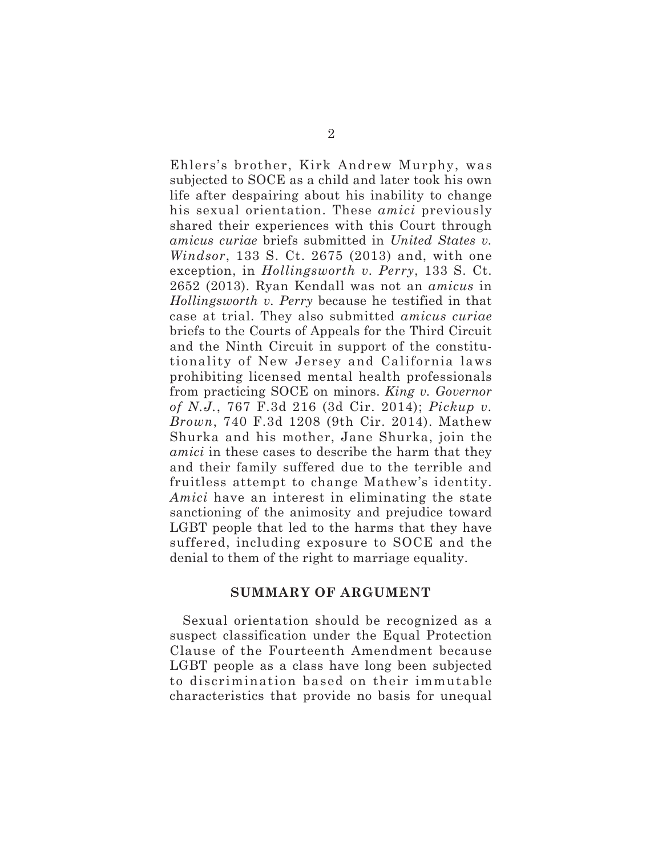Ehlers's brother, Kirk Andrew Murphy, was subjected to SOCE as a child and later took his own life after despairing about his inability to change his sexual orientation. These *amici* previously shared their experiences with this Court through *amicus curiae* briefs submitted in *United States v. Windsor*, 133 S. Ct. 2675 (2013) and, with one exception, in *Hollingsworth v. Perry*, 133 S. Ct. 2652 (2013). Ryan Kendall was not an *amicus* in *Hollingsworth v. Perry* because he testified in that case at trial. They also submitted *amicus curiae* briefs to the Courts of Appeals for the Third Circuit and the Ninth Circuit in support of the constitutionality of New Jersey and California laws prohibiting licensed mental health professionals from practicing SOCE on minors. *King v. Governor of N.J.*, 767 F.3d 216 (3d Cir. 2014); *Pickup v. Brown*, 740 F.3d 1208 (9th Cir. 2014). Mathew Shurka and his mother, Jane Shurka, join the *amici* in these cases to describe the harm that they and their family suffered due to the terrible and fruitless attempt to change Mathew's identity. *Amici* have an interest in eliminating the state sanctioning of the animosity and prejudice toward LGBT people that led to the harms that they have suffered, including exposure to SOCE and the denial to them of the right to marriage equality.

# **SUMMARY OF ARGUMENT**

Sexual orientation should be recognized as a suspect classification under the Equal Protection Clause of the Fourteenth Amendment because LGBT people as a class have long been subjected to discrimination based on their immutable characteristics that provide no basis for unequal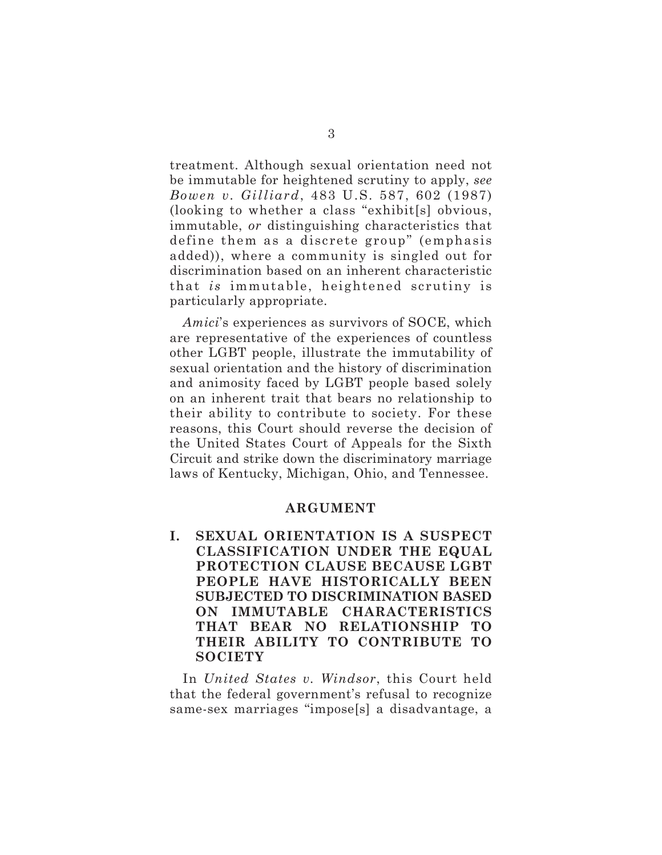treatment. Although sexual orientation need not be immutable for heightened scrutiny to apply, *see Bowen v. Gilliard*, 483 U.S. 587, 602 (1987) (looking to whether a class "exhibit[s] obvious, immutable, *or* distinguishing characteristics that define them as a discrete group" (emphasis added)), where a community is singled out for discrimination based on an inherent characteristic that *is* immutable, heightened scrutiny is particularly appropriate.

*Amici*'s experiences as survivors of SOCE, which are representative of the experiences of countless other LGBT people, illustrate the immutability of sexual orientation and the history of discrimination and animosity faced by LGBT people based solely on an inherent trait that bears no relationship to their ability to contribute to society. For these reasons, this Court should reverse the decision of the United States Court of Appeals for the Sixth Circuit and strike down the discriminatory marriage laws of Kentucky, Michigan, Ohio, and Tennessee.

#### **ARGUMENT**

**I. SEXUAL ORIENTATION IS A SUSPECT CLASSIFICATION UNDER THE EQUAL PROTECTION CLAUSE BECAUSE LGBT PEOPLE HAVE HISTORICALLY BEEN SUBJECTED TO DISCRIMINATION BASED ON IMMUTABLE CHARACTERISTICS THAT BEAR NO RELATIONSHIP TO THEIR ABILITY TO CONTRIBUTE TO SOCIETY**

In *United States v. Windsor*, this Court held that the federal government's refusal to recognize same-sex marriages "impose[s] a disadvantage, a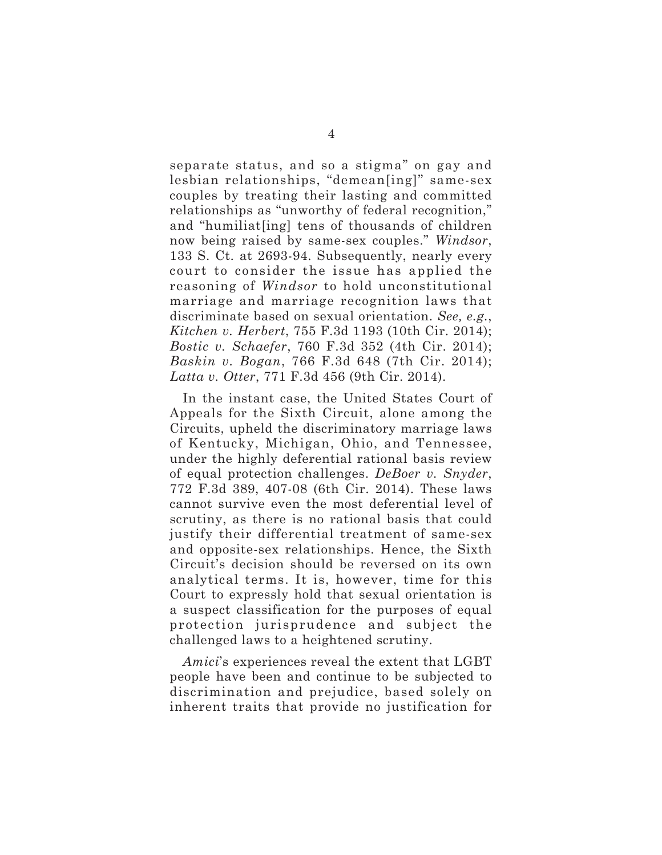separate status, and so a stigma" on gay and lesbian relationships, "demean[ing]" same-sex couples by treating their lasting and committed relationships as "unworthy of federal recognition," and "humiliat[ing] tens of thousands of children now being raised by same-sex couples." *Windsor*, 133 S. Ct. at 2693-94. Subsequently, nearly every court to consider the issue has applied the reasoning of *Windsor* to hold unconstitutional marriage and marriage recognition laws that discriminate based on sexual orientation. *See, e.g.*, *Kitchen v. Herbert*, 755 F.3d 1193 (10th Cir. 2014); *Bostic v. Schaefer*, 760 F.3d 352 (4th Cir. 2014); *Baskin v. Bogan*, 766 F.3d 648 (7th Cir. 2014); *Latta v. Otter*, 771 F.3d 456 (9th Cir. 2014).

In the instant case, the United States Court of Appeals for the Sixth Circuit, alone among the Circuits, upheld the discriminatory marriage laws of Kentucky, Michigan, Ohio, and Tennessee, under the highly deferential rational basis review of equal protection challenges. *DeBoer v. Snyder*, 772 F.3d 389, 407-08 (6th Cir. 2014). These laws cannot survive even the most deferential level of scrutiny, as there is no rational basis that could justify their differential treatment of same-sex and opposite-sex relationships. Hence, the Sixth Circuit's decision should be reversed on its own analytical terms. It is, however, time for this Court to expressly hold that sexual orientation is a suspect classification for the purposes of equal protection jurisprudence and subject the challenged laws to a heightened scrutiny.

*Amici*'s experiences reveal the extent that LGBT people have been and continue to be subjected to discrimination and prejudice, based solely on inherent traits that provide no justification for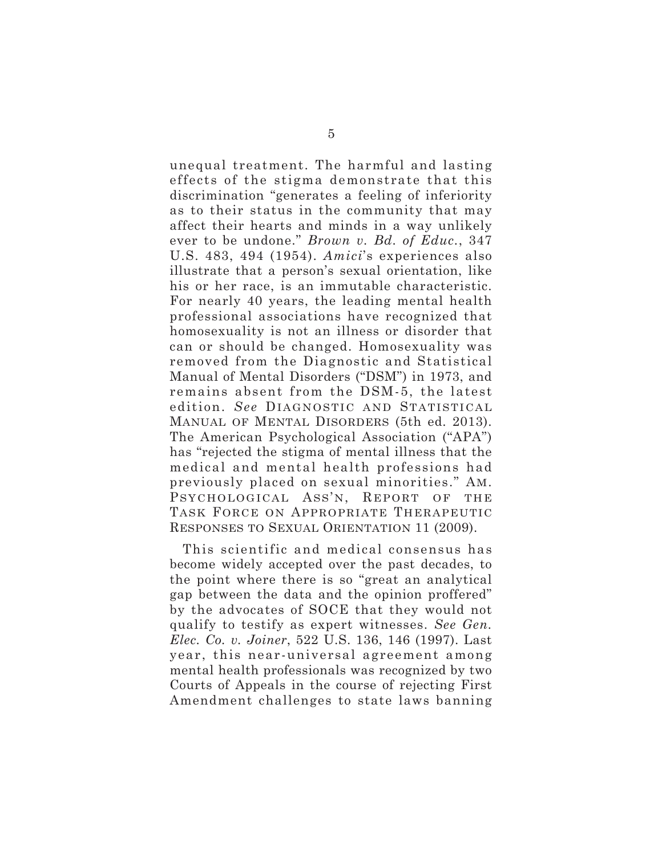unequal treatment. The harmful and lasting effects of the stigma demonstrate that this discrimination "generates a feeling of inferiority as to their status in the community that may affect their hearts and minds in a way unlikely ever to be undone." *Brown v. Bd. of Educ.*, 347 U.S. 483, 494 (1954). *Amici*'s experiences also illustrate that a person's sexual orientation, like his or her race, is an immutable characteristic. For nearly 40 years, the leading mental health professional associations have recognized that homosexuality is not an illness or disorder that can or should be changed. Homosexuality was removed from the Diagnostic and Statistical Manual of Mental Disorders ("DSM") in 1973, and remains absent from the DSM-5, the latest edition. *See* DIAGNOSTIC AND STATISTICAL MANUAL OF MENTAL DISORDERS (5th ed. 2013). The American Psychological Association ("APA") has "rejected the stigma of mental illness that the medical and mental health professions had previously placed on sexual minorities." AM. PSYCHOLOGICAL ASS'N, REPORT OF THE TASK FORCE ON APPROPRIATE THERAPEUTIC RESPONSES TO SEXUAL ORIENTATION 11 (2009).

This scientific and medical consensus has become widely accepted over the past decades, to the point where there is so "great an analytical gap between the data and the opinion proffered" by the advocates of SOCE that they would not qualify to testify as expert witnesses. *See Gen. Elec. Co. v. Joiner*, 522 U.S. 136, 146 (1997). Last year, this near-universal agreement among mental health professionals was recognized by two Courts of Appeals in the course of rejecting First Amendment challenges to state laws banning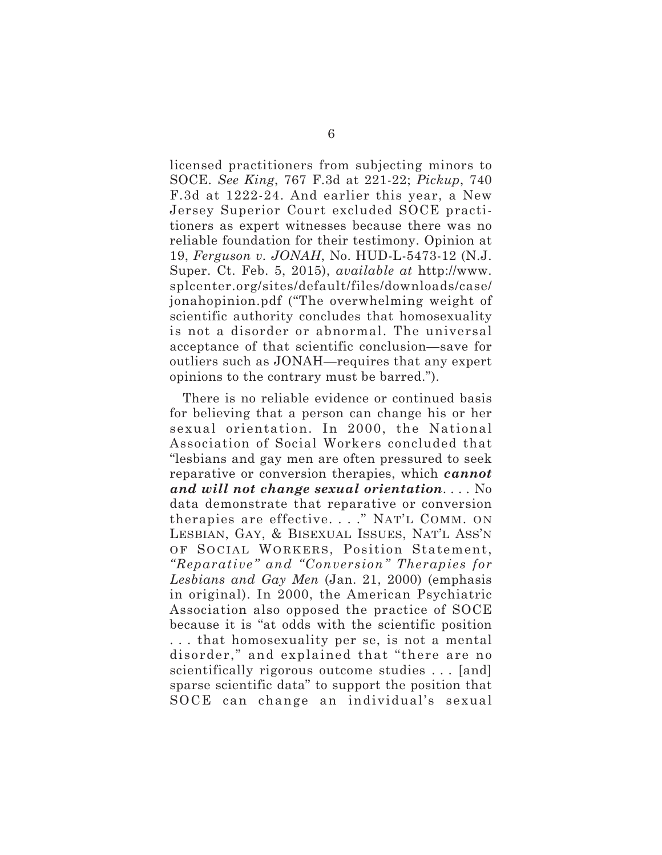licensed practitioners from subjecting minors to SOCE. *See King*, 767 F.3d at 221-22; *Pickup*, 740 F.3d at 1222-24. And earlier this year, a New Jersey Superior Court excluded SOCE practitioners as expert witnesses because there was no reliable foundation for their testimony. Opinion at 19, *Ferguson v. JONAH*, No. HUD-L-5473-12 (N.J. Super. Ct. Feb. 5, 2015), *available at* http://www. splcenter.org/sites/default/files/downloads/case/ jonahopinion.pdf ("The overwhelming weight of scientific authority concludes that homosexuality is not a disorder or abnormal. The universal acceptance of that scientific conclusion—save for outliers such as JONAH—requires that any expert opinions to the contrary must be barred.").

There is no reliable evidence or continued basis for believing that a person can change his or her sexual orientation. In 2000, the National Association of Social Workers concluded that "lesbians and gay men are often pressured to seek reparative or conversion therapies, which *cannot and will not change sexual orientation*. . . . No data demonstrate that reparative or conversion therapies are effective. . . ." NAT'L COMM. ON LESBIAN, GAY, & BISEXUAL ISSUES, NAT'L ASS'N OF SOCIAL WORKERS, Position Statement, *"Reparative" and "Conversion" Therapies for Lesbians and Gay Men* (Jan. 21, 2000) (emphasis in original). In 2000, the American Psychiatric Association also opposed the practice of SOCE because it is "at odds with the scientific position . . . that homosexuality per se, is not a mental disorder," and explained that "there are no scientifically rigorous outcome studies . . . [and] sparse scientific data" to support the position that SOCE can change an individual's sexual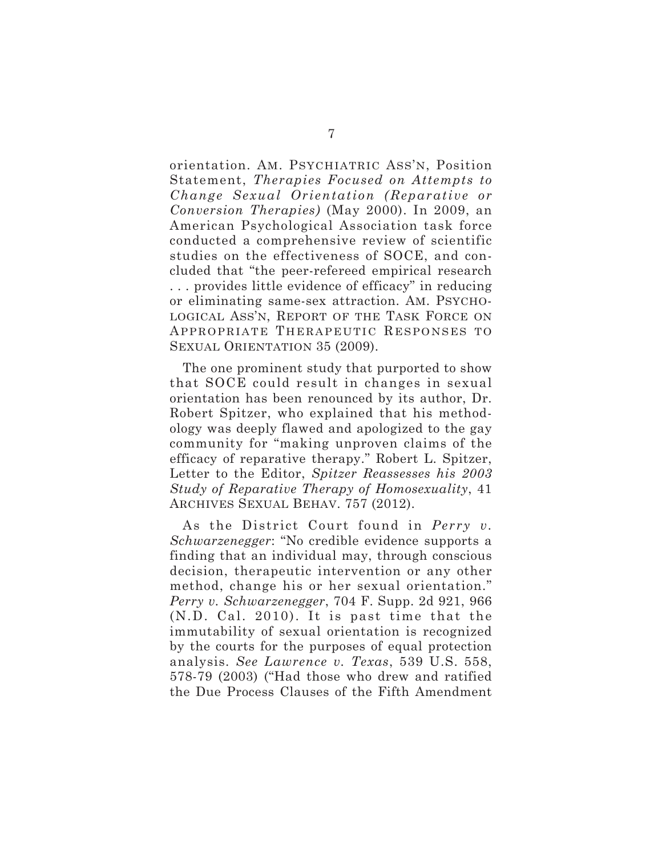orientation. AM. PSYCHIATRIC ASS'N, Position Statement, *Therapies Focused on Attempts to Change Sexual Orientation (Reparative or Conversion Therapies)* (May 2000). In 2009, an American Psychological Association task force conducted a comprehensive review of scientific studies on the effectiveness of SOCE, and concluded that "the peer-refereed empirical research . . . provides little evidence of efficacy" in reducing or eliminating same-sex attraction. AM. PSYCHO-LOGICAL ASS'N, REPORT OF THE TASK FORCE ON APPROPRIATE THERAPEUTIC RESPONSES TO SEXUAL ORIENTATION 35 (2009).

The one prominent study that purported to show that SOCE could result in changes in sexual orientation has been renounced by its author, Dr. Robert Spitzer, who explained that his methodology was deeply flawed and apologized to the gay community for "making unproven claims of the efficacy of reparative therapy." Robert L. Spitzer, Letter to the Editor, *Spitzer Reassesses his 2003 Study of Reparative Therapy of Homosexuality*, 41 ARCHIVES SEXUAL BEHAV. 757 (2012).

As the District Court found in *Perry v. Schwarzenegger*: "No credible evidence supports a finding that an individual may, through conscious decision, therapeutic intervention or any other method, change his or her sexual orientation." *Perry v. Schwarzenegger*, 704 F. Supp. 2d 921, 966 (N.D. Cal. 2010). It is past time that the immutability of sexual orientation is recognized by the courts for the purposes of equal protection analysis. *See Lawrence v. Texas*, 539 U.S. 558, 578-79 (2003) ("Had those who drew and ratified the Due Process Clauses of the Fifth Amendment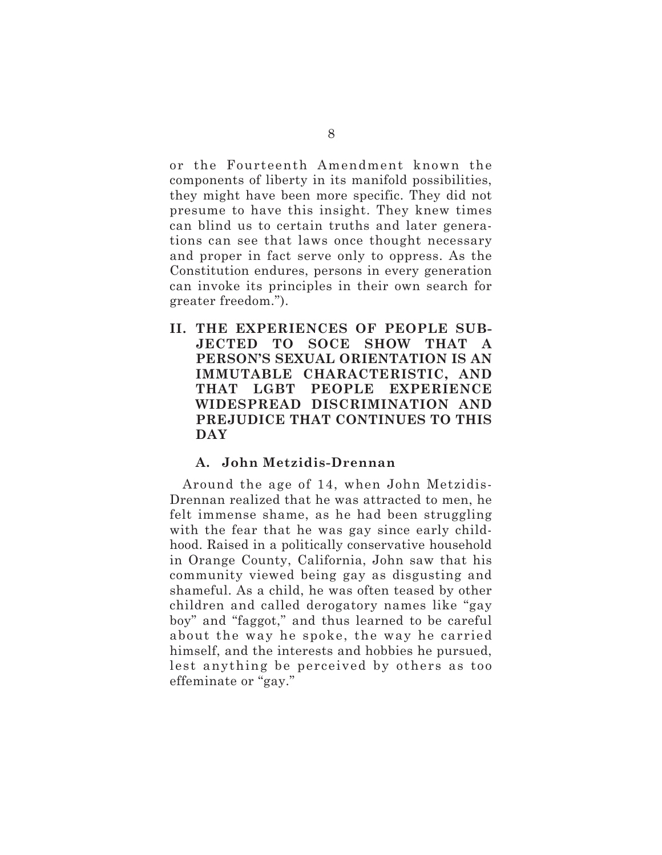or the Fourteenth Amendment known the components of liberty in its manifold possibilities, they might have been more specific. They did not presume to have this insight. They knew times can blind us to certain truths and later generations can see that laws once thought necessary and proper in fact serve only to oppress. As the Constitution endures, persons in every generation can invoke its principles in their own search for greater freedom.").

**II. THE EXPERIENCES OF PEOPLE SUB-JECTED TO SOCE SHOW THAT A PERSON'S SEXUAL ORIENTATION IS AN IMMUTABLE CHARACTERISTIC, AND THAT LGBT PEOPLE EXPERIENCE WIDESPREAD DISCRIMINATION AND PREJUDICE THAT CONTINUES TO THIS DAY**

# **A. John Metzidis-Drennan**

Around the age of 14, when John Metzidis-Drennan realized that he was attracted to men, he felt immense shame, as he had been struggling with the fear that he was gay since early childhood. Raised in a politically conservative household in Orange County, California, John saw that his community viewed being gay as disgusting and shameful. As a child, he was often teased by other children and called derogatory names like "gay boy" and "faggot," and thus learned to be careful about the way he spoke, the way he carried himself, and the interests and hobbies he pursued, lest anything be perceived by others as too effeminate or "gay."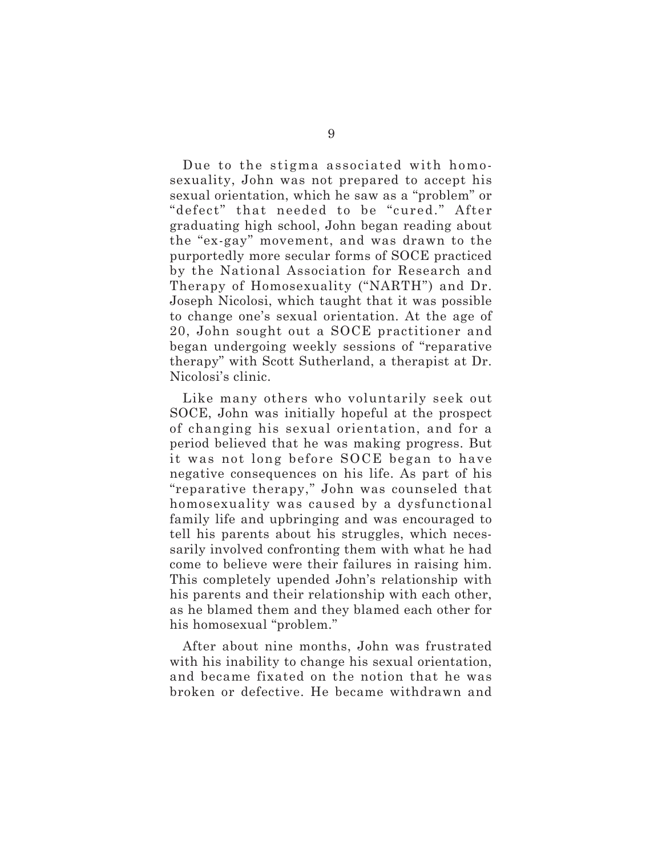Due to the stigma associated with homosexuality, John was not prepared to accept his sexual orientation, which he saw as a "problem" or "defect" that needed to be "cured." After graduating high school, John began reading about the "ex-gay" movement, and was drawn to the purportedly more secular forms of SOCE practiced by the National Association for Research and Therapy of Homosexuality ("NARTH") and Dr. Joseph Nicolosi, which taught that it was possible to change one's sexual orientation. At the age of 20, John sought out a SOCE practitioner and began undergoing weekly sessions of "reparative therapy" with Scott Sutherland, a therapist at Dr. Nicolosi's clinic.

Like many others who voluntarily seek out SOCE, John was initially hopeful at the prospect of changing his sexual orientation, and for a period believed that he was making progress. But it was not long before SOCE began to have negative consequences on his life. As part of his "reparative therapy," John was counseled that homosexuality was caused by a dysfunctional family life and upbringing and was encouraged to tell his parents about his struggles, which necessarily involved confronting them with what he had come to believe were their failures in raising him. This completely upended John's relationship with his parents and their relationship with each other, as he blamed them and they blamed each other for his homosexual "problem."

After about nine months, John was frustrated with his inability to change his sexual orientation, and became fixated on the notion that he was broken or defective. He became withdrawn and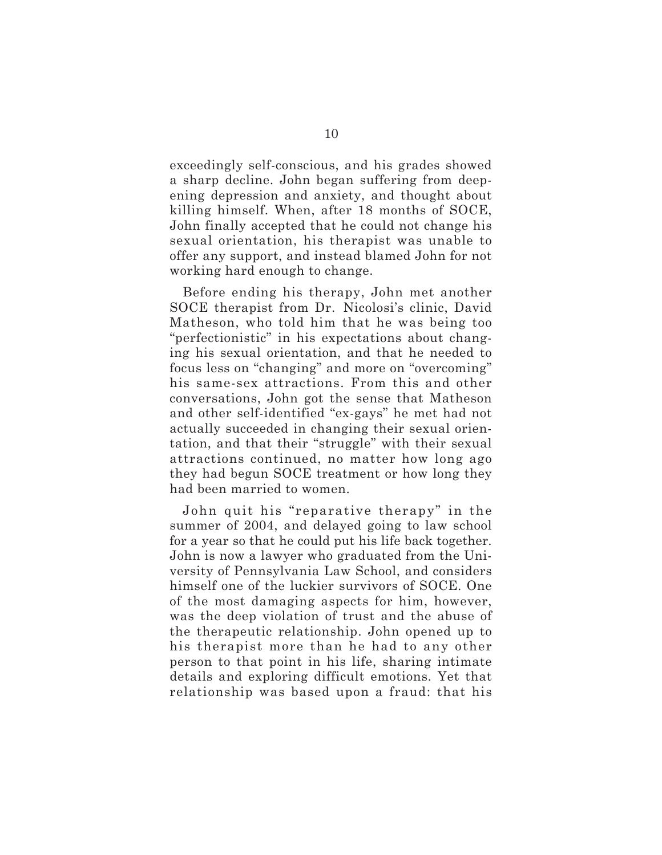exceedingly self-conscious, and his grades showed a sharp decline. John began suffering from deepening depression and anxiety, and thought about killing himself. When, after 18 months of SOCE, John finally accepted that he could not change his sexual orientation, his therapist was unable to offer any support, and instead blamed John for not working hard enough to change.

Before ending his therapy, John met another SOCE therapist from Dr. Nicolosi's clinic, David Matheson, who told him that he was being too "perfectionistic" in his expectations about changing his sexual orientation, and that he needed to focus less on "changing" and more on "overcoming" his same-sex attractions. From this and other conversations, John got the sense that Matheson and other self-identified "ex-gays" he met had not actually succeeded in changing their sexual orientation, and that their "struggle" with their sexual attractions continued, no matter how long ago they had begun SOCE treatment or how long they had been married to women.

John quit his "reparative therapy" in the summer of 2004, and delayed going to law school for a year so that he could put his life back together. John is now a lawyer who graduated from the University of Pennsylvania Law School, and considers himself one of the luckier survivors of SOCE. One of the most damaging aspects for him, however, was the deep violation of trust and the abuse of the therapeutic relationship. John opened up to his therapist more than he had to any other person to that point in his life, sharing intimate details and exploring difficult emotions. Yet that relationship was based upon a fraud: that his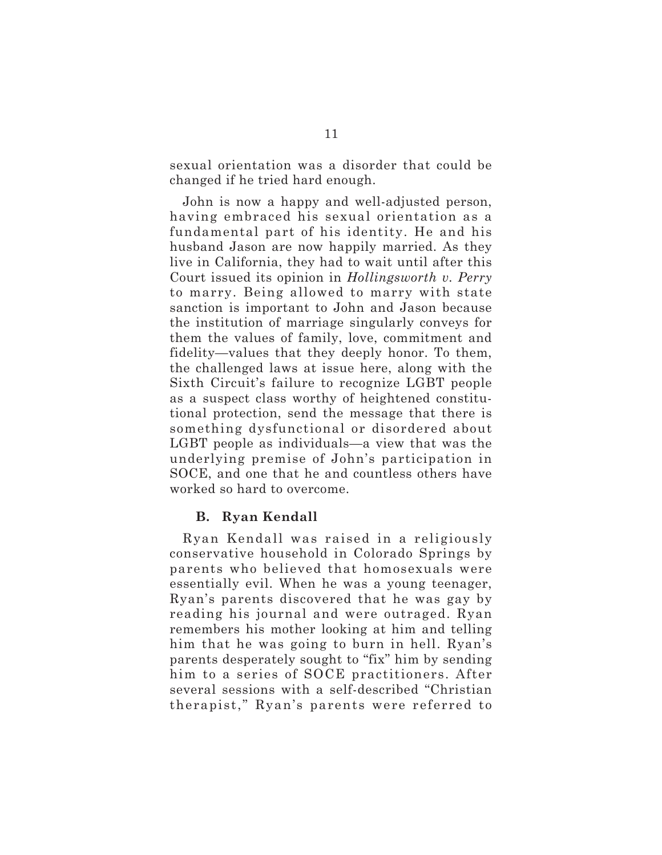sexual orientation was a disorder that could be changed if he tried hard enough.

John is now a happy and well-adjusted person, having embraced his sexual orientation as a fundamental part of his identity. He and his husband Jason are now happily married. As they live in California, they had to wait until after this Court issued its opinion in *Hollingsworth v. Perry* to marry. Being allowed to marry with state sanction is important to John and Jason because the institution of marriage singularly conveys for them the values of family, love, commitment and fidelity—values that they deeply honor. To them, the challenged laws at issue here, along with the Sixth Circuit's failure to recognize LGBT people as a suspect class worthy of heightened constitutional protection, send the message that there is something dysfunctional or disordered about LGBT people as individuals—a view that was the underlying premise of John's participation in SOCE, and one that he and countless others have worked so hard to overcome.

# **B. Ryan Kendall**

Ryan Kendall was raised in a religiously conservative household in Colorado Springs by parents who believed that homosexuals were essentially evil. When he was a young teenager, Ryan's parents discovered that he was gay by reading his journal and were outraged. Ryan remembers his mother looking at him and telling him that he was going to burn in hell. Ryan's parents desperately sought to "fix" him by sending him to a series of SOCE practitioners. After several sessions with a self-described "Christian therapist," Ryan's parents were referred to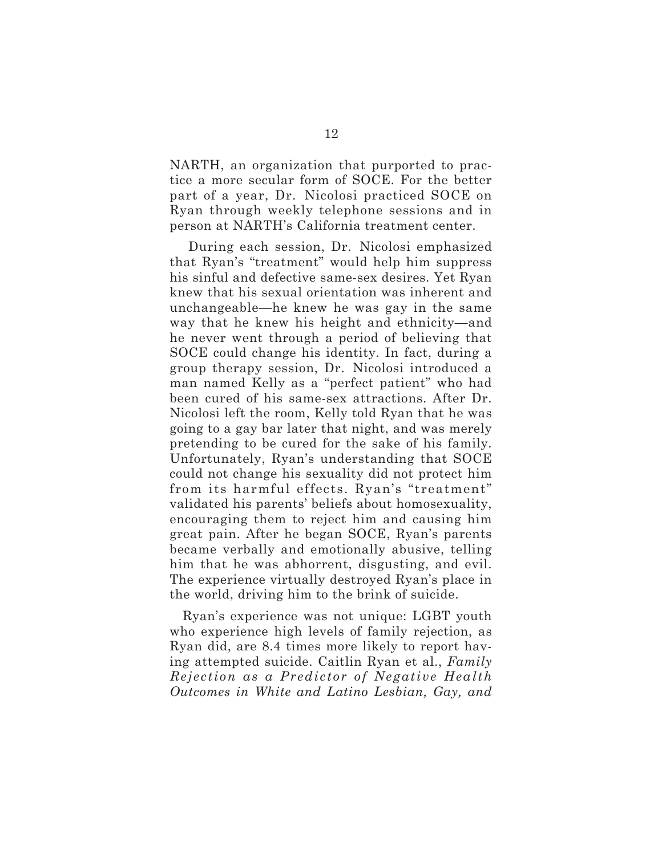NARTH, an organization that purported to practice a more secular form of SOCE. For the better part of a year, Dr. Nicolosi practiced SOCE on Ryan through weekly telephone sessions and in person at NARTH's California treatment center.

During each session, Dr. Nicolosi emphasized that Ryan's "treatment" would help him suppress his sinful and defective same-sex desires. Yet Ryan knew that his sexual orientation was inherent and unchangeable—he knew he was gay in the same way that he knew his height and ethnicity—and he never went through a period of believing that SOCE could change his identity. In fact, during a group therapy session, Dr. Nicolosi introduced a man named Kelly as a "perfect patient" who had been cured of his same-sex attractions. After Dr. Nicolosi left the room, Kelly told Ryan that he was going to a gay bar later that night, and was merely pretending to be cured for the sake of his family. Unfortunately, Ryan's understanding that SOCE could not change his sexuality did not protect him from its harmful effects. Ryan's "treatment" validated his parents' beliefs about homosexuality, encouraging them to reject him and causing him great pain. After he began SOCE, Ryan's parents became verbally and emotionally abusive, telling him that he was abhorrent, disgusting, and evil. The experience virtually destroyed Ryan's place in the world, driving him to the brink of suicide.

Ryan's experience was not unique: LGBT youth who experience high levels of family rejection, as Ryan did, are 8.4 times more likely to report having attempted suicide. Caitlin Ryan et al., *Family Rejection as a Predictor of Negative Health Outcomes in White and Latino Lesbian, Gay, and*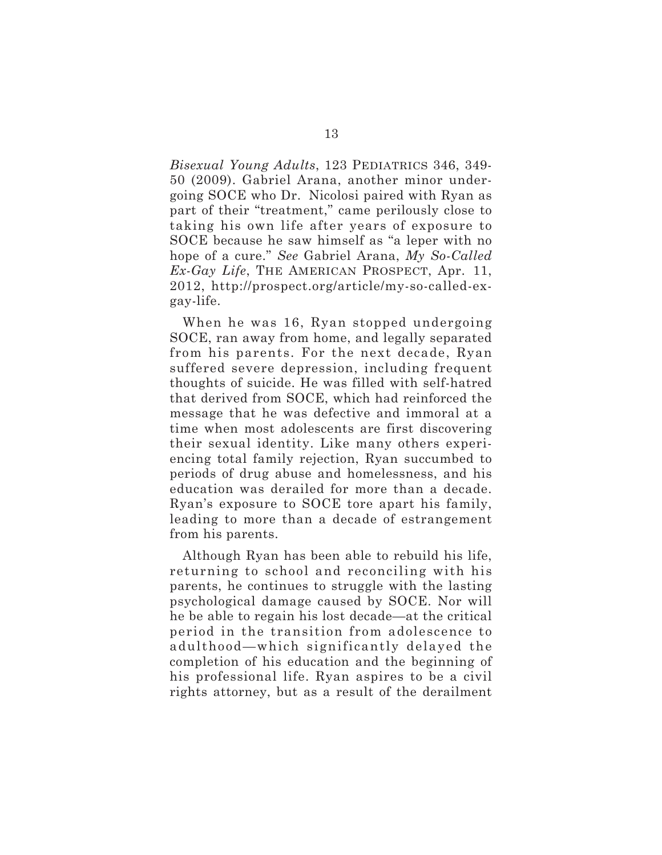*Bisexual Young Adults*, 123 PEDIATRICS 346, 349- 50 (2009). Gabriel Arana, another minor undergoing SOCE who Dr. Nicolosi paired with Ryan as part of their "treatment," came perilously close to taking his own life after years of exposure to SOCE because he saw himself as "a leper with no hope of a cure." *See* Gabriel Arana, *My So-Called Ex-Gay Life*, THE AMERICAN PROSPECT, Apr. 11, 2012, http://prospect.org/article/my-so-called-exgay-life.

When he was 16, Ryan stopped undergoing SOCE, ran away from home, and legally separated from his parents. For the next decade, Ryan suffered severe depression, including frequent thoughts of suicide. He was filled with self-hatred that derived from SOCE, which had reinforced the message that he was defective and immoral at a time when most adolescents are first discovering their sexual identity. Like many others experiencing total family rejection, Ryan succumbed to periods of drug abuse and homelessness, and his education was derailed for more than a decade. Ryan's exposure to SOCE tore apart his family, leading to more than a decade of estrangement from his parents.

Although Ryan has been able to rebuild his life, returning to school and reconciling with his parents, he continues to struggle with the lasting psychological damage caused by SOCE. Nor will he be able to regain his lost decade—at the critical period in the transition from adolescence to adulthood—which significantly delayed the completion of his education and the beginning of his professional life. Ryan aspires to be a civil rights attorney, but as a result of the derailment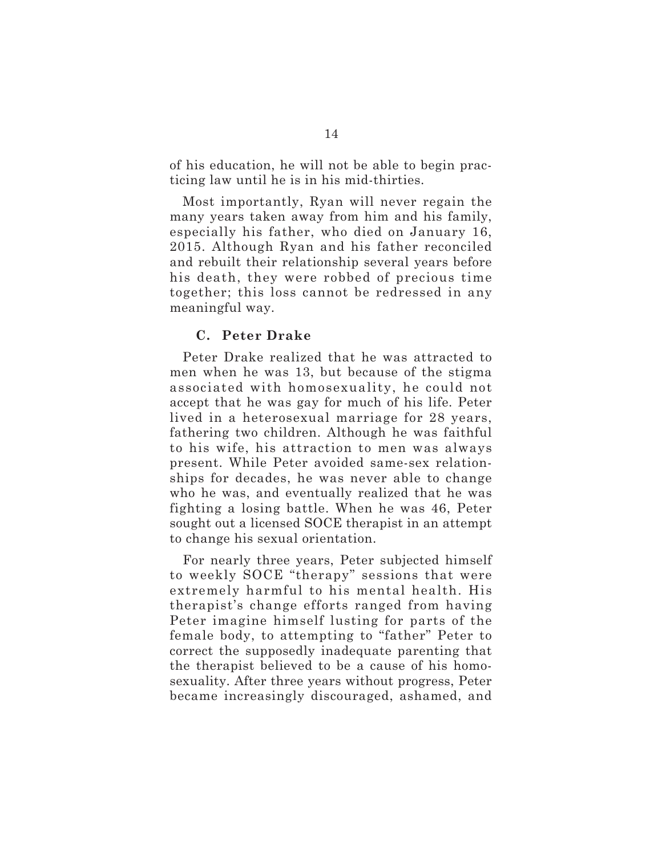of his education, he will not be able to begin practicing law until he is in his mid-thirties.

Most importantly, Ryan will never regain the many years taken away from him and his family, especially his father, who died on January 16, 2015. Although Ryan and his father reconciled and rebuilt their relationship several years before his death, they were robbed of precious time together; this loss cannot be redressed in any meaningful way.

# **C. Peter Drake**

Peter Drake realized that he was attracted to men when he was 13, but because of the stigma associated with homosexuality, he could not accept that he was gay for much of his life. Peter lived in a heterosexual marriage for 28 years, fathering two children. Although he was faithful to his wife, his attraction to men was always present. While Peter avoided same-sex relationships for decades, he was never able to change who he was, and eventually realized that he was fighting a losing battle. When he was 46, Peter sought out a licensed SOCE therapist in an attempt to change his sexual orientation.

For nearly three years, Peter subjected himself to weekly SOCE "therapy" sessions that were extremely harmful to his mental health. His therapist's change efforts ranged from having Peter imagine himself lusting for parts of the female body, to attempting to "father" Peter to correct the supposedly inadequate parenting that the therapist believed to be a cause of his homosexuality. After three years without progress, Peter became increasingly discouraged, ashamed, and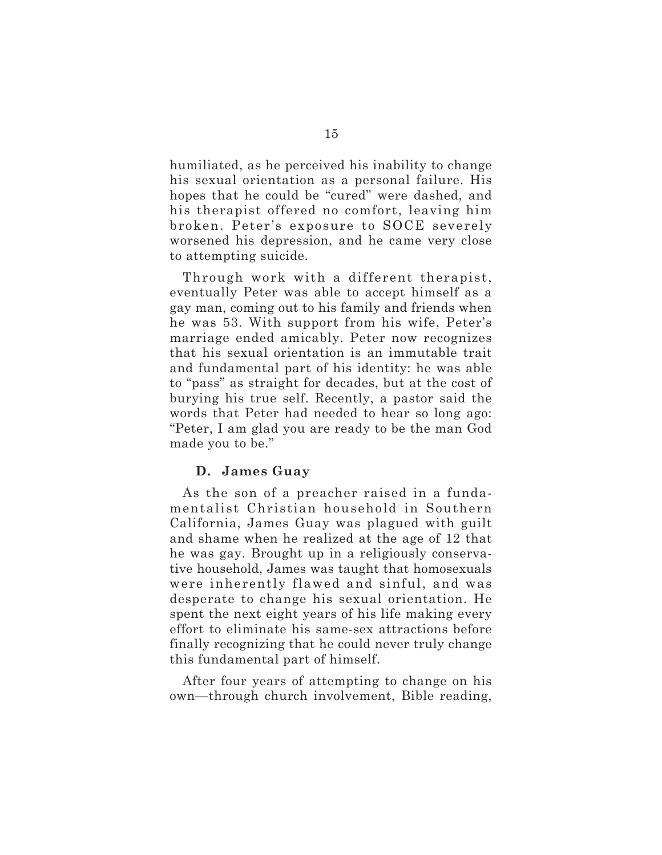humiliated, as he perceived his inability to change his sexual orientation as a personal failure. His hopes that he could be "cured" were dashed, and his therapist offered no comfort, leaving him broken. Peter's exposure to SOCE severely worsened his depression, and he came very close to attempting suicide.

Through work with a different therapist, eventually Peter was able to accept himself as a gay man, coming out to his family and friends when he was 53. With support from his wife, Peter's marriage ended amicably. Peter now recognizes that his sexual orientation is an immutable trait and fundamental part of his identity: he was able to "pass" as straight for decades, but at the cost of burying his true self. Recently, a pastor said the words that Peter had needed to hear so long ago: "Peter, I am glad you are ready to be the man God made you to be."

# **D. James Guay**

As the son of a preacher raised in a fundamentalist Christian household in Southern California, James Guay was plagued with guilt and shame when he realized at the age of 12 that he was gay. Brought up in a religiously conservative household, James was taught that homosexuals were inherently flawed and sinful, and was desperate to change his sexual orientation. He spent the next eight years of his life making every effort to eliminate his same-sex attractions before finally recognizing that he could never truly change this fundamental part of himself.

After four years of attempting to change on his own—through church involvement, Bible reading,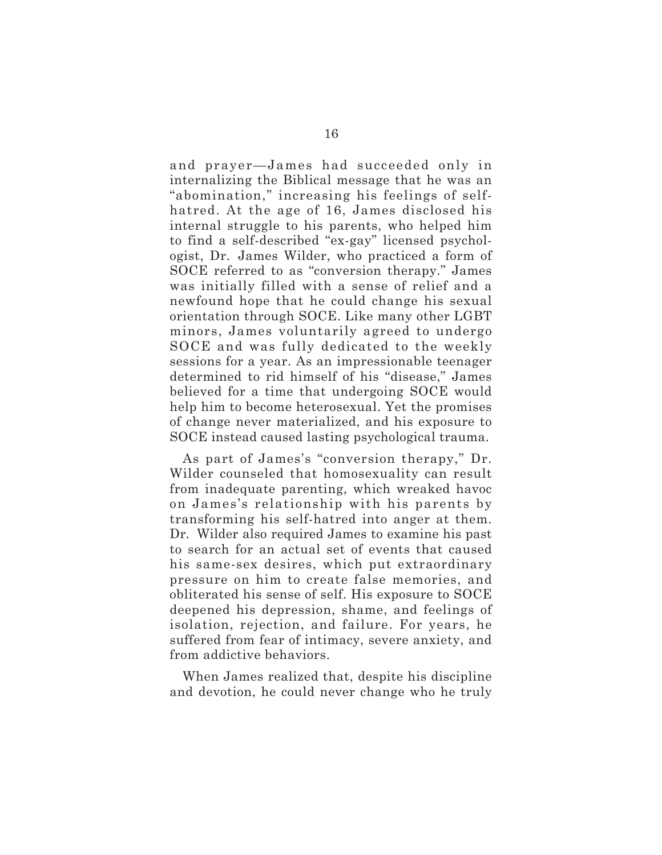and prayer—James had succeeded only in internalizing the Biblical message that he was an "abomination," increasing his feelings of selfhatred. At the age of 16, James disclosed his internal struggle to his parents, who helped him to find a self-described "ex-gay" licensed psychologist, Dr. James Wilder, who practiced a form of SOCE referred to as "conversion therapy." James was initially filled with a sense of relief and a newfound hope that he could change his sexual orientation through SOCE. Like many other LGBT minors, James voluntarily agreed to undergo SOCE and was fully dedicated to the weekly sessions for a year. As an impressionable teenager determined to rid himself of his "disease," James believed for a time that undergoing SOCE would help him to become heterosexual. Yet the promises of change never materialized, and his exposure to SOCE instead caused lasting psychological trauma.

As part of James's "conversion therapy," Dr. Wilder counseled that homosexuality can result from inadequate parenting, which wreaked havoc on James's relationship with his parents by transforming his self-hatred into anger at them. Dr. Wilder also required James to examine his past to search for an actual set of events that caused his same-sex desires, which put extraordinary pressure on him to create false memories, and obliterated his sense of self. His exposure to SOCE deepened his depression, shame, and feelings of isolation, rejection, and failure. For years, he suffered from fear of intimacy, severe anxiety, and from addictive behaviors.

When James realized that, despite his discipline and devotion, he could never change who he truly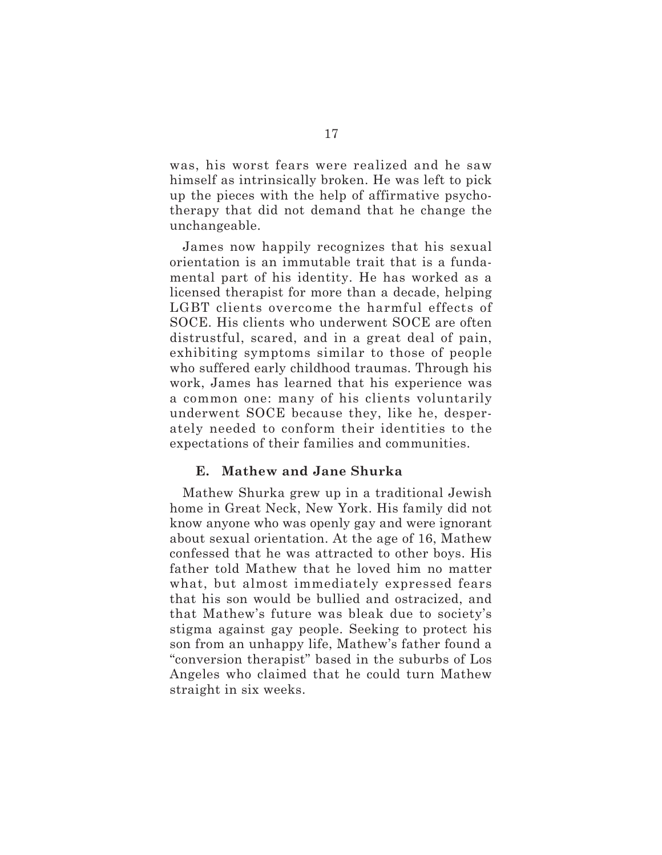was, his worst fears were realized and he saw himself as intrinsically broken. He was left to pick up the pieces with the help of affirmative psychotherapy that did not demand that he change the unchangeable.

James now happily recognizes that his sexual orientation is an immutable trait that is a fundamental part of his identity. He has worked as a licensed therapist for more than a decade, helping LGBT clients overcome the harmful effects of SOCE. His clients who underwent SOCE are often distrustful, scared, and in a great deal of pain, exhibiting symptoms similar to those of people who suffered early childhood traumas. Through his work, James has learned that his experience was a common one: many of his clients voluntarily underwent SOCE because they, like he, desperately needed to conform their identities to the expectations of their families and communities.

# **E. Mathew and Jane Shurka**

Mathew Shurka grew up in a traditional Jewish home in Great Neck, New York. His family did not know anyone who was openly gay and were ignorant about sexual orientation. At the age of 16, Mathew confessed that he was attracted to other boys. His father told Mathew that he loved him no matter what, but almost immediately expressed fears that his son would be bullied and ostracized, and that Mathew's future was bleak due to society's stigma against gay people. Seeking to protect his son from an unhappy life, Mathew's father found a "conversion therapist" based in the suburbs of Los Angeles who claimed that he could turn Mathew straight in six weeks.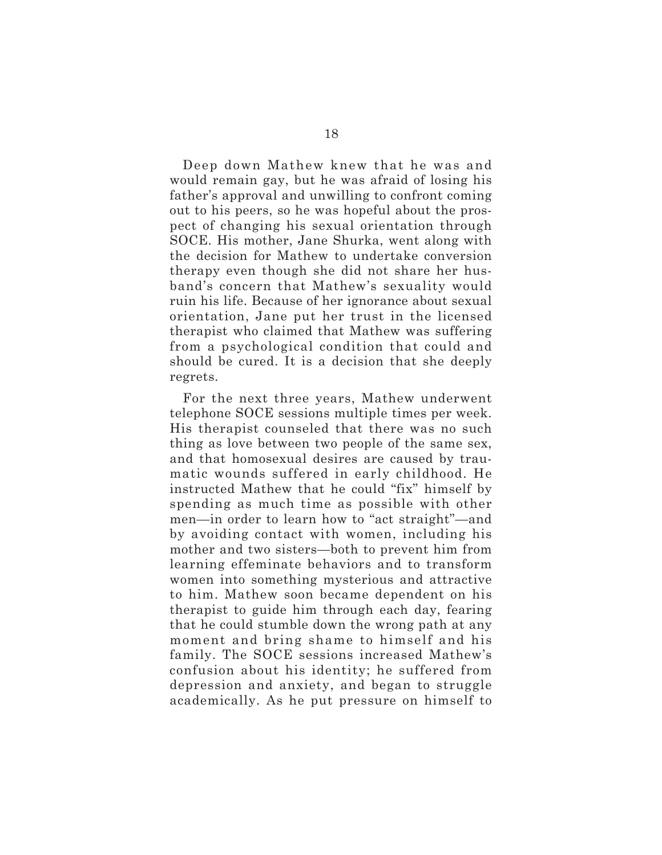Deep down Mathew knew that he was and would remain gay, but he was afraid of losing his father's approval and unwilling to confront coming out to his peers, so he was hopeful about the prospect of changing his sexual orientation through SOCE. His mother, Jane Shurka, went along with the decision for Mathew to undertake conversion therapy even though she did not share her husband's concern that Mathew's sexuality would ruin his life. Because of her ignorance about sexual orientation, Jane put her trust in the licensed therapist who claimed that Mathew was suffering from a psychological condition that could and should be cured. It is a decision that she deeply regrets.

For the next three years, Mathew underwent telephone SOCE sessions multiple times per week. His therapist counseled that there was no such thing as love between two people of the same sex, and that homosexual desires are caused by traumatic wounds suffered in early childhood. He instructed Mathew that he could "fix" himself by spending as much time as possible with other men—in order to learn how to "act straight"—and by avoiding contact with women, including his mother and two sisters—both to prevent him from learning effeminate behaviors and to transform women into something mysterious and attractive to him. Mathew soon became dependent on his therapist to guide him through each day, fearing that he could stumble down the wrong path at any moment and bring shame to himself and his family. The SOCE sessions increased Mathew's confusion about his identity; he suffered from depression and anxiety, and began to struggle academically. As he put pressure on himself to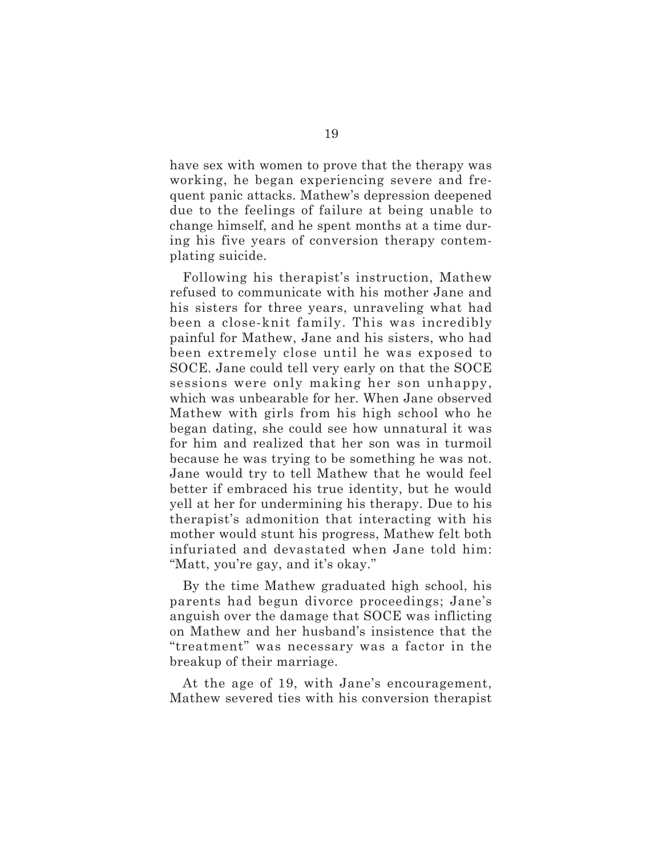have sex with women to prove that the therapy was working, he began experiencing severe and frequent panic attacks. Mathew's depression deepened due to the feelings of failure at being unable to change himself, and he spent months at a time during his five years of conversion therapy contemplating suicide.

Following his therapist's instruction, Mathew refused to communicate with his mother Jane and his sisters for three years, unraveling what had been a close-knit family. This was incredibly painful for Mathew, Jane and his sisters, who had been extremely close until he was exposed to SOCE. Jane could tell very early on that the SOCE sessions were only making her son unhappy, which was unbearable for her. When Jane observed Mathew with girls from his high school who he began dating, she could see how unnatural it was for him and realized that her son was in turmoil because he was trying to be something he was not. Jane would try to tell Mathew that he would feel better if embraced his true identity, but he would yell at her for undermining his therapy. Due to his therapist's admonition that interacting with his mother would stunt his progress, Mathew felt both infuriated and devastated when Jane told him: "Matt, you're gay, and it's okay."

By the time Mathew graduated high school, his parents had begun divorce proceedings; Jane's anguish over the damage that SOCE was inflicting on Mathew and her husband's insistence that the "treatment" was necessary was a factor in the breakup of their marriage.

At the age of 19, with Jane's encouragement, Mathew severed ties with his conversion therapist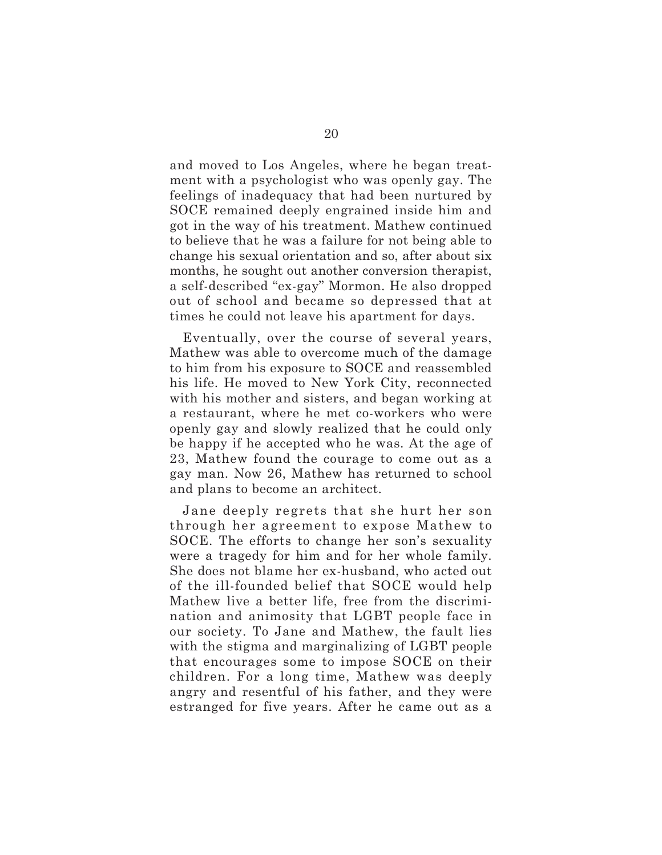and moved to Los Angeles, where he began treatment with a psychologist who was openly gay. The feelings of inadequacy that had been nurtured by SOCE remained deeply engrained inside him and got in the way of his treatment. Mathew continued to believe that he was a failure for not being able to change his sexual orientation and so, after about six months, he sought out another conversion therapist, a self-described "ex-gay" Mormon. He also dropped out of school and became so depressed that at times he could not leave his apartment for days.

Eventually, over the course of several years, Mathew was able to overcome much of the damage to him from his exposure to SOCE and reassembled his life. He moved to New York City, reconnected with his mother and sisters, and began working at a restaurant, where he met co-workers who were openly gay and slowly realized that he could only be happy if he accepted who he was. At the age of 23, Mathew found the courage to come out as a gay man. Now 26, Mathew has returned to school and plans to become an architect.

Jane deeply regrets that she hurt her son through her agreement to expose Mathew to SOCE. The efforts to change her son's sexuality were a tragedy for him and for her whole family. She does not blame her ex-husband, who acted out of the ill-founded belief that SOCE would help Mathew live a better life, free from the discrimination and animosity that LGBT people face in our society. To Jane and Mathew, the fault lies with the stigma and marginalizing of LGBT people that encourages some to impose SOCE on their children. For a long time, Mathew was deeply angry and resentful of his father, and they were estranged for five years. After he came out as a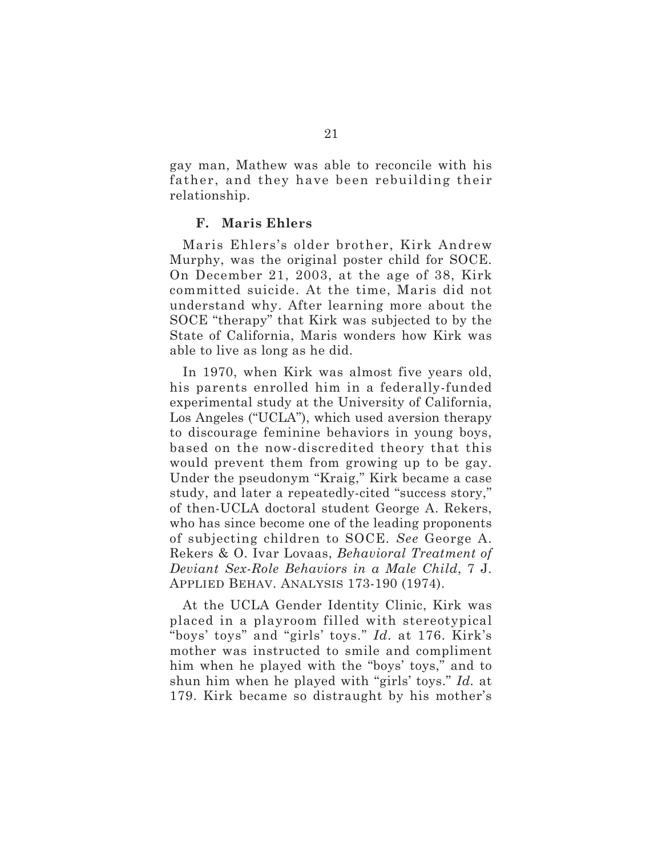gay man, Mathew was able to reconcile with his father, and they have been rebuilding their relationship.

#### **F. Maris Ehlers**

Maris Ehlers's older brother, Kirk Andrew Murphy, was the original poster child for SOCE. On December 21, 2003, at the age of 38, Kirk committed suicide. At the time, Maris did not understand why. After learning more about the SOCE "therapy" that Kirk was subjected to by the State of California, Maris wonders how Kirk was able to live as long as he did.

In 1970, when Kirk was almost five years old, his parents enrolled him in a federally-funded experimental study at the University of California, Los Angeles ("UCLA"), which used aversion therapy to discourage feminine behaviors in young boys, based on the now-discredited theory that this would prevent them from growing up to be gay. Under the pseudonym "Kraig," Kirk became a case study, and later a repeatedly-cited "success story," of then-UCLA doctoral student George A. Rekers, who has since become one of the leading proponents of subjecting children to SOCE. *See* George A. Rekers & O. Ivar Lovaas, *Behavioral Treatment of Deviant Sex-Role Behaviors in a Male Child*, 7 J. APPLIED BEHAV. ANALYSIS 173-190 (1974).

At the UCLA Gender Identity Clinic, Kirk was placed in a playroom filled with stereotypical "boys' toys" and "girls' toys." *Id.* at 176. Kirk's mother was instructed to smile and compliment him when he played with the "boys' toys," and to shun him when he played with "girls' toys." *Id.* at 179. Kirk became so distraught by his mother's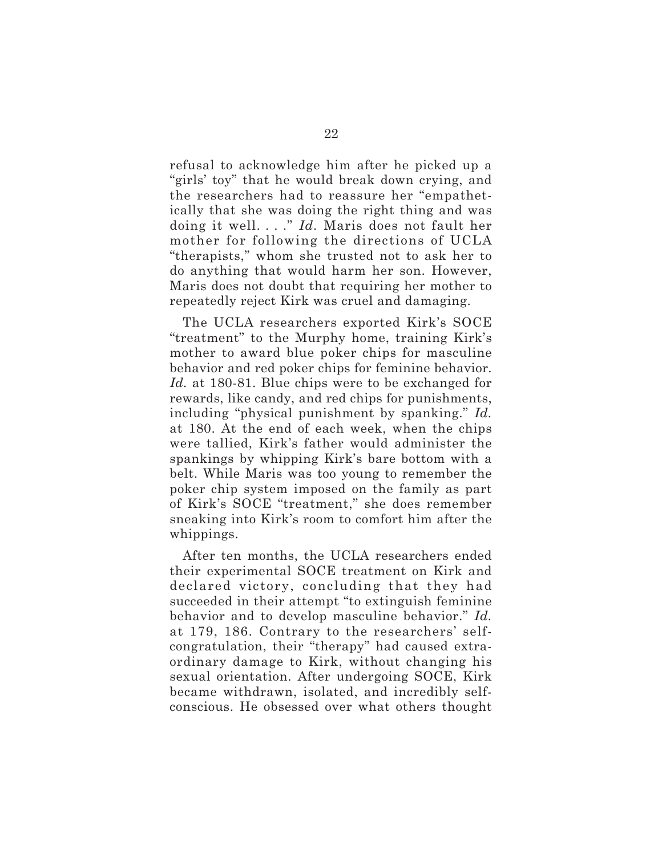refusal to acknowledge him after he picked up a "girls' toy" that he would break down crying, and the researchers had to reassure her "empathetically that she was doing the right thing and was doing it well. . . ." *Id.* Maris does not fault her mother for following the directions of UCLA "therapists," whom she trusted not to ask her to do anything that would harm her son. However, Maris does not doubt that requiring her mother to repeatedly reject Kirk was cruel and damaging.

The UCLA researchers exported Kirk's SOCE "treatment" to the Murphy home, training Kirk's mother to award blue poker chips for masculine behavior and red poker chips for feminine behavior. *Id.* at 180-81. Blue chips were to be exchanged for rewards, like candy, and red chips for punishments, including "physical punishment by spanking." *Id.* at 180. At the end of each week, when the chips were tallied, Kirk's father would administer the spankings by whipping Kirk's bare bottom with a belt. While Maris was too young to remember the poker chip system imposed on the family as part of Kirk's SOCE "treatment," she does remember sneaking into Kirk's room to comfort him after the whippings.

After ten months, the UCLA researchers ended their experimental SOCE treatment on Kirk and declared victory, concluding that they had succeeded in their attempt "to extinguish feminine behavior and to develop masculine behavior." *Id.* at 179, 186. Contrary to the researchers' selfcongratulation, their "therapy" had caused extraordinary damage to Kirk, without changing his sexual orientation. After undergoing SOCE, Kirk became withdrawn, isolated, and incredibly selfconscious. He obsessed over what others thought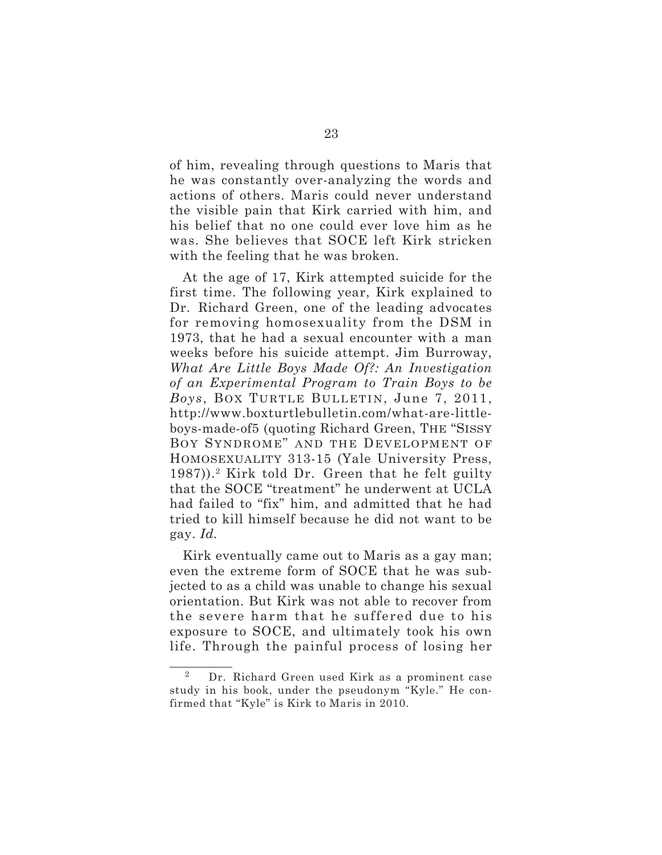of him, revealing through questions to Maris that he was constantly over-analyzing the words and actions of others. Maris could never understand the visible pain that Kirk carried with him, and his belief that no one could ever love him as he was. She believes that SOCE left Kirk stricken with the feeling that he was broken.

At the age of 17, Kirk attempted suicide for the first time. The following year, Kirk explained to Dr. Richard Green, one of the leading advocates for removing homosexuality from the DSM in 1973, that he had a sexual encounter with a man weeks before his suicide attempt. Jim Burroway, *What Are Little Boys Made Of?: An Investigation of an Experimental Program to Train Boys to be Boys*, BOX TURTLE BULLETIN, June 7, 2011, http://www.boxturtlebulletin.com/what-are-littleboys-made-of5 (quoting Richard Green, THE "SISSY BOY SYNDROME" AND THE DEVELOPMENT OF HOMOSEXUALITY 313-15 (Yale University Press,  $1987$ )).<sup>2</sup> Kirk told Dr. Green that he felt guilty that the SOCE "treatment" he underwent at UCLA had failed to "fix" him, and admitted that he had tried to kill himself because he did not want to be gay. *Id.*

Kirk eventually came out to Maris as a gay man; even the extreme form of SOCE that he was subjected to as a child was unable to change his sexual orientation. But Kirk was not able to recover from the severe harm that he suffered due to his exposure to SOCE, and ultimately took his own life. Through the painful process of losing her

<sup>2</sup> Dr. Richard Green used Kirk as a prominent case study in his book, under the pseudonym "Kyle." He confirmed that "Kyle" is Kirk to Maris in 2010.